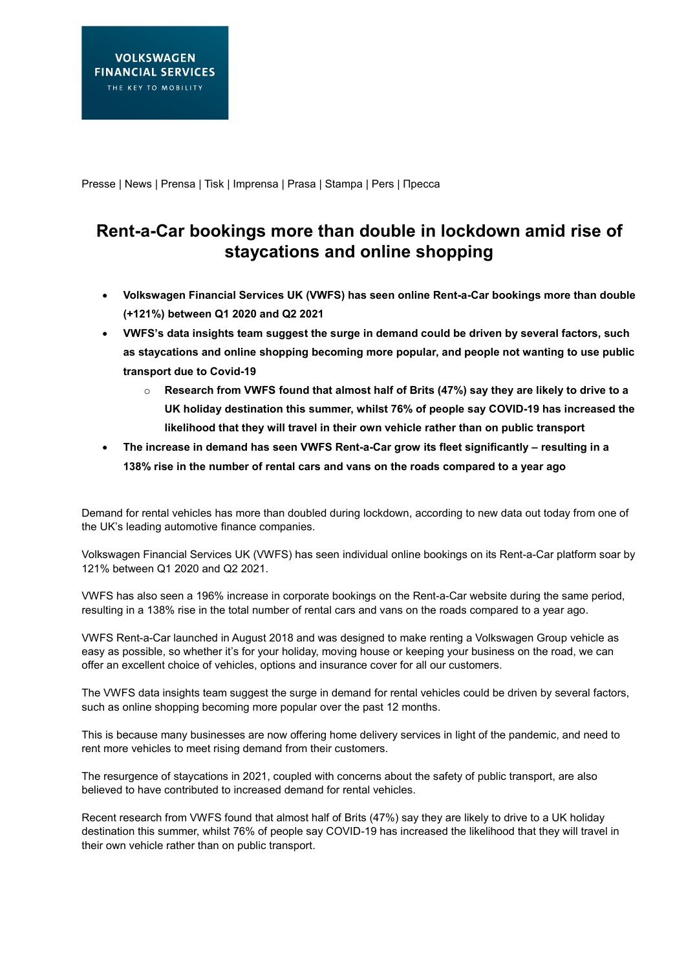Presse | News | Prensa | Tisk | Imprensa | Prasa | Stampa | Pers | Пресса

## **Rent-a-Car bookings more than double in lockdown amid rise of staycations and online shopping**

- **Volkswagen Financial Services UK (VWFS) has seen online Rent-a-Car bookings more than double (+121%) between Q1 2020 and Q2 2021**
- **VWFS's data insights team suggest the surge in demand could be driven by several factors, such as staycations and online shopping becoming more popular, and people not wanting to use public transport due to Covid-19**
	- o **Research from VWFS found that almost half of Brits (47%) say they are likely to drive to a UK holiday destination this summer, whilst 76% of people say COVID-19 has increased the likelihood that they will travel in their own vehicle rather than on public transport**
- **The increase in demand has seen VWFS Rent-a-Car grow its fleet significantly – resulting in a 138% rise in the number of rental cars and vans on the roads compared to a year ago**

Demand for rental vehicles has more than doubled during lockdown, according to new data out today from one of the UK's leading automotive finance companies.

Volkswagen Financial Services UK (VWFS) has seen individual online bookings on its Rent-a-Car platform soar by 121% between Q1 2020 and Q2 2021.

VWFS has also seen a 196% increase in corporate bookings on the Rent-a-Car website during the same period, resulting in a 138% rise in the total number of rental cars and vans on the roads compared to a year ago.

VWFS Rent-a-Car launched in August 2018 and was designed to make renting a Volkswagen Group vehicle as easy as possible, so whether it's for your holiday, moving house or keeping your business on the road, we can offer an excellent choice of vehicles, options and insurance cover for all our customers.

The VWFS data insights team suggest the surge in demand for rental vehicles could be driven by several factors, such as online shopping becoming more popular over the past 12 months.

This is because many businesses are now offering home delivery services in light of the pandemic, and need to rent more vehicles to meet rising demand from their customers.

The resurgence of staycations in 2021, coupled with concerns about the safety of public transport, are also believed to have contributed to increased demand for rental vehicles.

Recent research from VWFS found that almost half of Brits (47%) say they are likely to drive to a UK holiday destination this summer, whilst 76% of people say COVID-19 has increased the likelihood that they will travel in their own vehicle rather than on public transport.